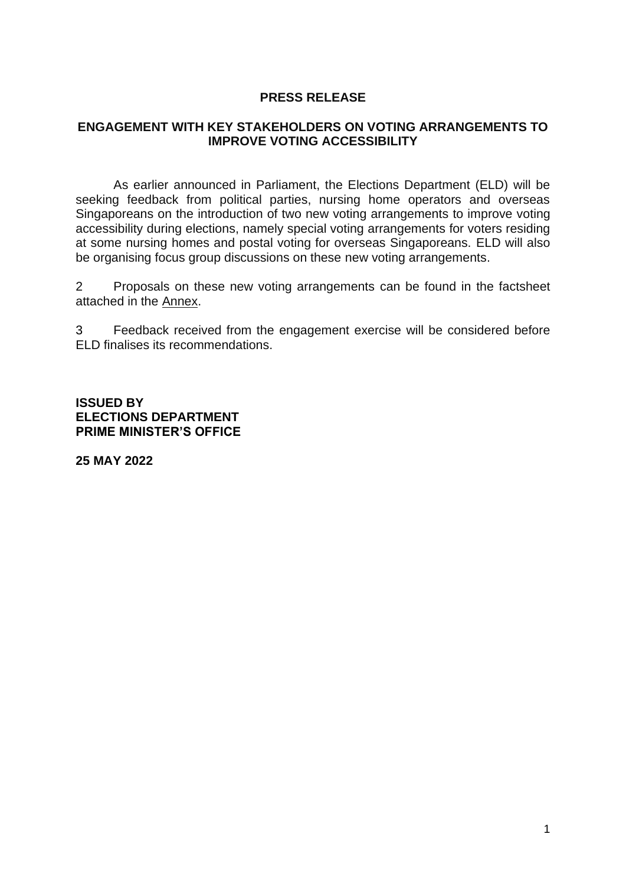#### **PRESS RELEASE**

#### **ENGAGEMENT WITH KEY STAKEHOLDERS ON VOTING ARRANGEMENTS TO IMPROVE VOTING ACCESSIBILITY**

As earlier announced in Parliament, the Elections Department (ELD) will be seeking feedback from political parties, nursing home operators and overseas Singaporeans on the introduction of two new voting arrangements to improve voting accessibility during elections, namely special voting arrangements for voters residing at some nursing homes and postal voting for overseas Singaporeans. ELD will also be organising focus group discussions on these new voting arrangements.

2 Proposals on these new voting arrangements can be found in the factsheet attached in the Annex.

3 Feedback received from the engagement exercise will be considered before ELD finalises its recommendations.

**ISSUED BY ELECTIONS DEPARTMENT PRIME MINISTER'S OFFICE** 

**25 MAY 2022**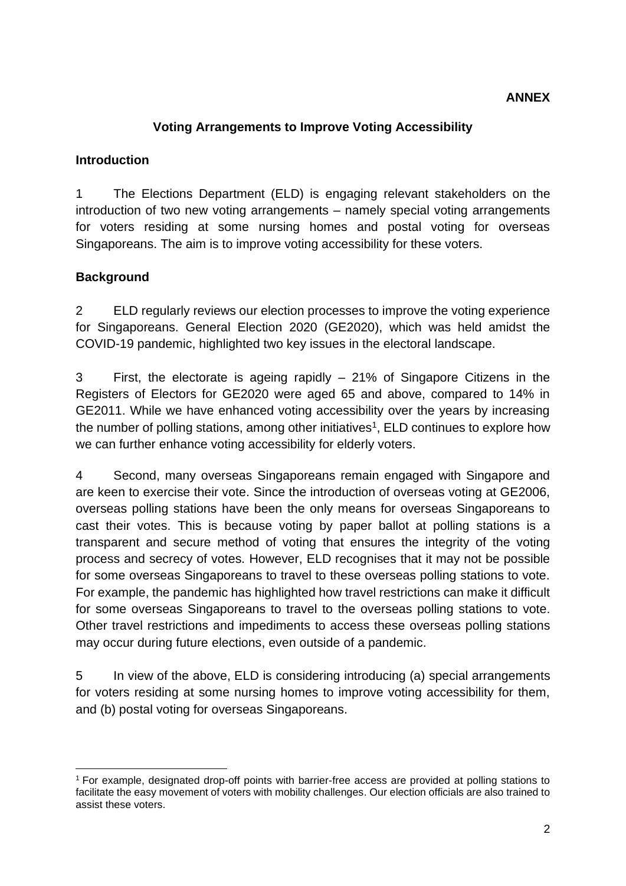## **ANNEX**

## **Voting Arrangements to Improve Voting Accessibility**

#### **Introduction**

1 The Elections Department (ELD) is engaging relevant stakeholders on the introduction of two new voting arrangements – namely special voting arrangements for voters residing at some nursing homes and postal voting for overseas Singaporeans. The aim is to improve voting accessibility for these voters.

## **Background**

2 ELD regularly reviews our election processes to improve the voting experience for Singaporeans. General Election 2020 (GE2020), which was held amidst the COVID-19 pandemic, highlighted two key issues in the electoral landscape.

3 First, the electorate is ageing rapidly – 21% of Singapore Citizens in the Registers of Electors for GE2020 were aged 65 and above, compared to 14% in GE2011. While we have enhanced voting accessibility over the years by increasing the number of polling stations, among other initiatives<sup>1</sup>, ELD continues to explore how we can further enhance voting accessibility for elderly voters.

4 Second, many overseas Singaporeans remain engaged with Singapore and are keen to exercise their vote. Since the introduction of overseas voting at GE2006, overseas polling stations have been the only means for overseas Singaporeans to cast their votes. This is because voting by paper ballot at polling stations is a transparent and secure method of voting that ensures the integrity of the voting process and secrecy of votes. However, ELD recognises that it may not be possible for some overseas Singaporeans to travel to these overseas polling stations to vote. For example, the pandemic has highlighted how travel restrictions can make it difficult for some overseas Singaporeans to travel to the overseas polling stations to vote. Other travel restrictions and impediments to access these overseas polling stations may occur during future elections, even outside of a pandemic.

5 In view of the above, ELD is considering introducing (a) special arrangements for voters residing at some nursing homes to improve voting accessibility for them, and (b) postal voting for overseas Singaporeans.

<sup>1</sup> For example, designated drop-off points with barrier-free access are provided at polling stations to facilitate the easy movement of voters with mobility challenges. Our election officials are also trained to assist these voters.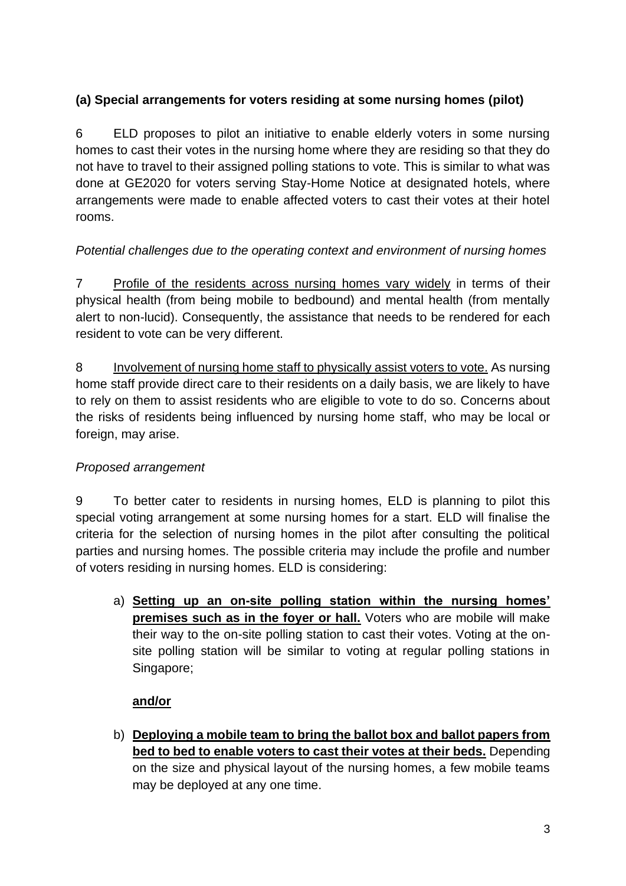# **(a) Special arrangements for voters residing at some nursing homes (pilot)**

6 ELD proposes to pilot an initiative to enable elderly voters in some nursing homes to cast their votes in the nursing home where they are residing so that they do not have to travel to their assigned polling stations to vote. This is similar to what was done at GE2020 for voters serving Stay-Home Notice at designated hotels, where arrangements were made to enable affected voters to cast their votes at their hotel rooms.

# *Potential challenges due to the operating context and environment of nursing homes*

7 Profile of the residents across nursing homes vary widely in terms of their physical health (from being mobile to bedbound) and mental health (from mentally alert to non-lucid). Consequently, the assistance that needs to be rendered for each resident to vote can be very different.

8 Involvement of nursing home staff to physically assist voters to vote. As nursing home staff provide direct care to their residents on a daily basis, we are likely to have to rely on them to assist residents who are eligible to vote to do so. Concerns about the risks of residents being influenced by nursing home staff, who may be local or foreign, may arise.

# *Proposed arrangement*

9 To better cater to residents in nursing homes, ELD is planning to pilot this special voting arrangement at some nursing homes for a start. ELD will finalise the criteria for the selection of nursing homes in the pilot after consulting the political parties and nursing homes. The possible criteria may include the profile and number of voters residing in nursing homes. ELD is considering:

a) **Setting up an on-site polling station within the nursing homes' premises such as in the foyer or hall.** Voters who are mobile will make their way to the on-site polling station to cast their votes. Voting at the onsite polling station will be similar to voting at regular polling stations in Singapore;

# **and/or**

b) **Deploying a mobile team to bring the ballot box and ballot papers from bed to bed to enable voters to cast their votes at their beds.** Depending on the size and physical layout of the nursing homes, a few mobile teams may be deployed at any one time.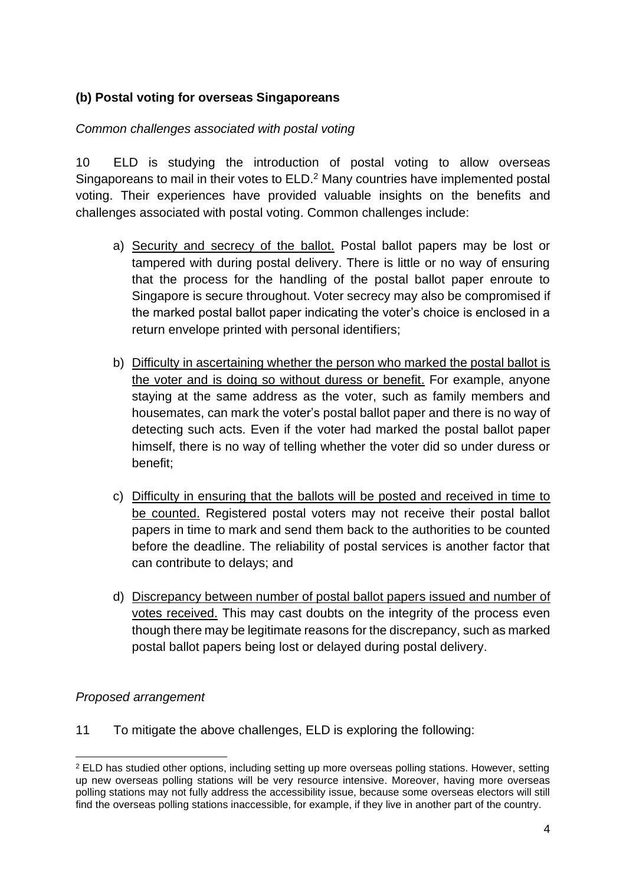## **(b) Postal voting for overseas Singaporeans**

#### *Common challenges associated with postal voting*

10 ELD is studying the introduction of postal voting to allow overseas Singaporeans to mail in their votes to ELD.<sup>2</sup> Many countries have implemented postal voting. Their experiences have provided valuable insights on the benefits and challenges associated with postal voting. Common challenges include:

- a) Security and secrecy of the ballot. Postal ballot papers may be lost or tampered with during postal delivery. There is little or no way of ensuring that the process for the handling of the postal ballot paper enroute to Singapore is secure throughout. Voter secrecy may also be compromised if the marked postal ballot paper indicating the voter's choice is enclosed in a return envelope printed with personal identifiers;
- b) Difficulty in ascertaining whether the person who marked the postal ballot is the voter and is doing so without duress or benefit. For example, anyone staying at the same address as the voter, such as family members and housemates, can mark the voter's postal ballot paper and there is no way of detecting such acts. Even if the voter had marked the postal ballot paper himself, there is no way of telling whether the voter did so under duress or benefit;
- c) Difficulty in ensuring that the ballots will be posted and received in time to be counted. Registered postal voters may not receive their postal ballot papers in time to mark and send them back to the authorities to be counted before the deadline. The reliability of postal services is another factor that can contribute to delays; and
- d) Discrepancy between number of postal ballot papers issued and number of votes received. This may cast doubts on the integrity of the process even though there may be legitimate reasons for the discrepancy, such as marked postal ballot papers being lost or delayed during postal delivery.

## *Proposed arrangement*

11 To mitigate the above challenges, ELD is exploring the following:

<sup>2</sup> ELD has studied other options, including setting up more overseas polling stations. However, setting up new overseas polling stations will be very resource intensive. Moreover, having more overseas polling stations may not fully address the accessibility issue, because some overseas electors will still find the overseas polling stations inaccessible, for example, if they live in another part of the country.